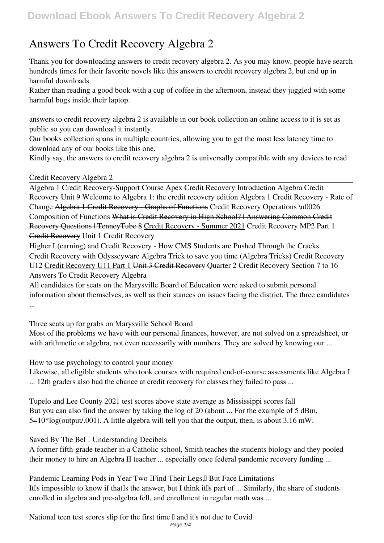## **Answers To Credit Recovery Algebra 2**

Thank you for downloading **answers to credit recovery algebra 2**. As you may know, people have search hundreds times for their favorite novels like this answers to credit recovery algebra 2, but end up in harmful downloads.

Rather than reading a good book with a cup of coffee in the afternoon, instead they juggled with some harmful bugs inside their laptop.

answers to credit recovery algebra 2 is available in our book collection an online access to it is set as public so you can download it instantly.

Our books collection spans in multiple countries, allowing you to get the most less latency time to download any of our books like this one.

Kindly say, the answers to credit recovery algebra 2 is universally compatible with any devices to read

## Credit Recovery Algebra 2

Algebra 1 Credit Recovery-Support Course Apex Credit Recovery Introduction **Algebra Credit Recovery Unit 9 Welcome to Algebra 1: the credit recovery edition Algebra 1 Credit Recovery - Rate of Change** Algebra 1 Credit Recovery - Graphs of Functions *Credit Recovery Operations \u0026 Composition of Functions* What is Credit Recovery in High School? | Answering Common Credit Recovery Questions | TenneyTube 8 Credit Recovery - Summer 2021 *Credit Recovery MP2 Part 1* Credit Recovery *Unit 1 Credit Recovery*

Higher L(earning) and Credit Recovery - How CMS Students are Pushed Through the Cracks.

Credit Recovery with Odysseyware Algebra Trick to save you time (Algebra Tricks) Credit Recovery U12 Credit Recovery U11 Part 1 Unit 3 Credit Recovery *Quarter 2 Credit Recovery Section 7 to 16* Answers To Credit Recovery Algebra

All candidates for seats on the Marysville Board of Education were asked to submit personal information about themselves, as well as their stances on issues facing the district. The three candidates ...

Three seats up for grabs on Marysville School Board

Most of the problems we have with our personal finances, however, are not solved on a spreadsheet, or with arithmetic or algebra, not even necessarily with numbers. They are solved by knowing our ...

How to use psychology to control your money

Likewise, all eligible students who took courses with required end-of-course assessments like Algebra I ... 12th graders also had the chance at credit recovery for classes they failed to pass ...

Tupelo and Lee County 2021 test scores above state average as Mississippi scores fall But you can also find the answer by taking the log of 20 (about ... For the example of 5 dBm,  $5=10*log(output.001)$ . A little algebra will tell you that the output, then, is about 3.16 mW.

Saved By The Bel <sup>[]</sup> Understanding Decibels

A former fifth-grade teacher in a Catholic school, Smith teaches the students biology and they pooled their money to hire an Algebra II teacher ... especially once federal pandemic recovery funding ...

Pandemic Learning Pods in Year Two **IFind Their Legs,** But Face Limitations It<sup>'</sup>s impossible to know if that<sup>'s</sup> the answer, but I think it<sup>'s</sup> part of ... Similarly, the share of students enrolled in algebra and pre-algebra fell, and enrollment in regular math was ...

National teen test scores slip for the first time  $\mathbb I$  and it's not due to Covid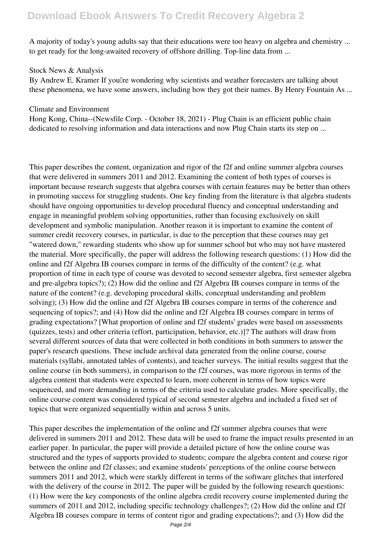A majority of today's young adults say that their educations were too heavy on algebra and chemistry ... to get ready for the long-awaited recovery of offshore drilling. Top-line data from ...

## Stock News & Analysis

By Andrew E. Kramer If youllre wondering why scientists and weather forecasters are talking about these phenomena, we have some answers, including how they got their names. By Henry Fountain As ...

## Climate and Environment

Hong Kong, China--(Newsfile Corp. - October 18, 2021) - Plug Chain is an efficient public chain dedicated to resolving information and data interactions and now Plug Chain starts its step on ...

This paper describes the content, organization and rigor of the f2f and online summer algebra courses that were delivered in summers 2011 and 2012. Examining the content of both types of courses is important because research suggests that algebra courses with certain features may be better than others in promoting success for struggling students. One key finding from the literature is that algebra students should have ongoing opportunities to develop procedural fluency and conceptual understanding and engage in meaningful problem solving opportunities, rather than focusing exclusively on skill development and symbolic manipulation. Another reason it is important to examine the content of summer credit recovery courses, in particular, is due to the perception that these courses may get "watered down," rewarding students who show up for summer school but who may not have mastered the material. More specifically, the paper will address the following research questions: (1) How did the online and f2f Algebra IB courses compare in terms of the difficulty of the content? (e.g. what proportion of time in each type of course was devoted to second semester algebra, first semester algebra and pre-algebra topics?); (2) How did the online and f2f Algebra IB courses compare in terms of the nature of the content? (e.g. developing procedural skills, conceptual understanding and problem solving); (3) How did the online and f2f Algebra IB courses compare in terms of the coherence and sequencing of topics?; and (4) How did the online and f2f Algebra IB courses compare in terms of grading expectations? [What proportion of online and f2f students' grades were based on assessments (quizzes, tests) and other criteria (effort, participation, behavior, etc.)]? The authors will draw from several different sources of data that were collected in both conditions in both summers to answer the paper's research questions. These include archival data generated from the online course, course materials (syllabi, annotated tables of contents), and teacher surveys. The initial results suggest that the online course (in both summers), in comparison to the f2f courses, was more rigorous in terms of the algebra content that students were expected to learn, more coherent in terms of how topics were sequenced, and more demanding in terms of the criteria used to calculate grades. More specifically, the online course content was considered typical of second semester algebra and included a fixed set of topics that were organized sequentially within and across 5 units.

This paper describes the implementation of the online and f2f summer algebra courses that were delivered in summers 2011 and 2012. These data will be used to frame the impact results presented in an earlier paper. In particular, the paper will provide a detailed picture of how the online course was structured and the types of supports provided to students; compare the algebra content and course rigor between the online and f2f classes; and examine students' perceptions of the online course between summers 2011 and 2012, which were starkly different in terms of the software glitches that interfered with the delivery of the course in 2012. The paper will be guided by the following research questions: (1) How were the key components of the online algebra credit recovery course implemented during the summers of 2011 and 2012, including specific technology challenges?; (2) How did the online and f2f Algebra IB courses compare in terms of content rigor and grading expectations?; and (3) How did the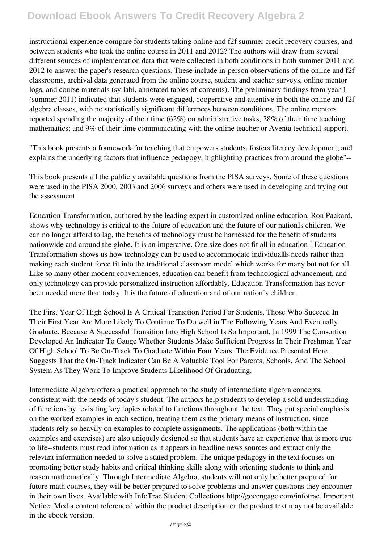instructional experience compare for students taking online and f2f summer credit recovery courses, and between students who took the online course in 2011 and 2012? The authors will draw from several different sources of implementation data that were collected in both conditions in both summer 2011 and 2012 to answer the paper's research questions. These include in-person observations of the online and f2f classrooms, archival data generated from the online course, student and teacher surveys, online mentor logs, and course materials (syllabi, annotated tables of contents). The preliminary findings from year 1 (summer 2011) indicated that students were engaged, cooperative and attentive in both the online and f2f algebra classes, with no statistically significant differences between conditions. The online mentors reported spending the majority of their time (62%) on administrative tasks, 28% of their time teaching mathematics; and 9% of their time communicating with the online teacher or Aventa technical support.

"This book presents a framework for teaching that empowers students, fosters literacy development, and explains the underlying factors that influence pedagogy, highlighting practices from around the globe"--

This book presents all the publicly available questions from the PISA surveys. Some of these questions were used in the PISA 2000, 2003 and 2006 surveys and others were used in developing and trying out the assessment.

Education Transformation, authored by the leading expert in customized online education, Ron Packard, shows why technology is critical to the future of education and the future of our nation<sup>IS</sup> children. We can no longer afford to lag, the benefits of technology must be harnessed for the benefit of students nationwide and around the globe. It is an imperative. One size does not fit all in education  $\mathbb{I}$  Education Transformation shows us how technology can be used to accommodate individual's needs rather than making each student force fit into the traditional classroom model which works for many but not for all. Like so many other modern conveniences, education can benefit from technological advancement, and only technology can provide personalized instruction affordably. Education Transformation has never been needed more than today. It is the future of education and of our nation<sup>'s</sup> children.

The First Year Of High School Is A Critical Transition Period For Students, Those Who Succeed In Their First Year Are More Likely To Continue To Do well in The Following Years And Eventually Graduate. Because A Successful Transition Into High School Is So Important, In 1999 The Consortion Developed An Indicator To Gauge Whether Students Make Sufficient Progress In Their Freshman Year Of High School To Be On-Track To Graduate Within Four Years. The Evidence Presented Here Suggests That the On-Track Indicator Can Be A Valuable Tool For Parents, Schools, And The School System As They Work To Improve Students Likelihood Of Graduating.

Intermediate Algebra offers a practical approach to the study of intermediate algebra concepts, consistent with the needs of today's student. The authors help students to develop a solid understanding of functions by revisiting key topics related to functions throughout the text. They put special emphasis on the worked examples in each section, treating them as the primary means of instruction, since students rely so heavily on examples to complete assignments. The applications (both within the examples and exercises) are also uniquely designed so that students have an experience that is more true to life--students must read information as it appears in headline news sources and extract only the relevant information needed to solve a stated problem. The unique pedagogy in the text focuses on promoting better study habits and critical thinking skills along with orienting students to think and reason mathematically. Through Intermediate Algebra, students will not only be better prepared for future math courses, they will be better prepared to solve problems and answer questions they encounter in their own lives. Available with InfoTrac Student Collections http://gocengage.com/infotrac. Important Notice: Media content referenced within the product description or the product text may not be available in the ebook version.